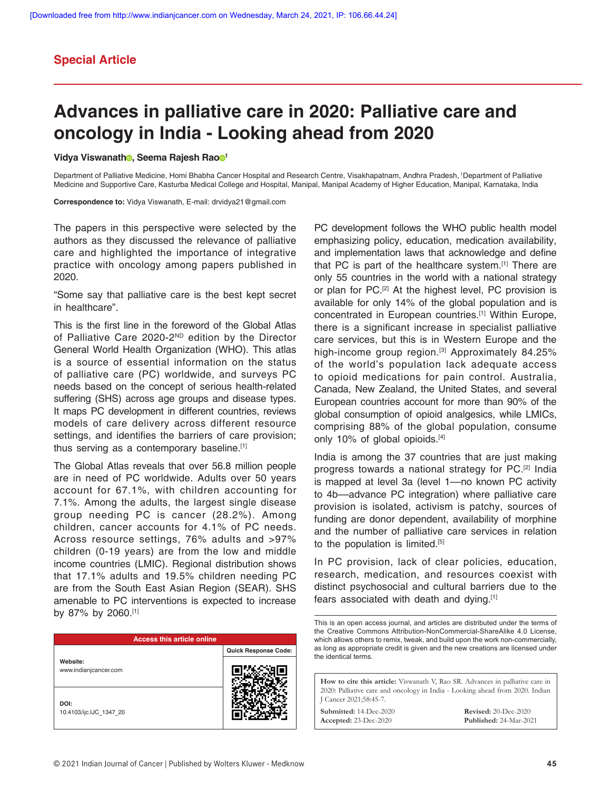# **Special Article**

# **Advances in palliative care in 2020: Palliative care and oncology in India - Looking ahead from 2020**

### **Vidya Viswanath<sup>o</sup>, Seema Rajesh Rao<sup>o1</sup>**

Department of Palliative Medicine, Homi Bhabha Cancer Hospital and Research Centre, Visakhapatnam, Andhra Pradesh, 1Department of Palliative Medicine and Supportive Care, Kasturba Medical College and Hospital, Manipal, Manipal Academy of Higher Education, Manipal, Karnataka, India

**Correspondence to:** Vidya Viswanath, E-mail: drvidya21@gmail.com

The papers in this perspective were selected by the authors as they discussed the relevance of palliative care and highlighted the importance of integrative practice with oncology among papers published in 2020.

"Some say that palliative care is the best kept secret in healthcare".

This is the first line in the foreword of the Global Atlas of Palliative Care 2020-2<sup>ND</sup> edition by the Director General World Health Organization (WHO). This atlas is a source of essential information on the status of palliative care (PC) worldwide, and surveys PC needs based on the concept of serious health-related suffering (SHS) across age groups and disease types. It maps PC development in different countries, reviews models of care delivery across different resource settings, and identifies the barriers of care provision; thus serving as a contemporary baseline.[1]

The Global Atlas reveals that over 56.8 million people are in need of PC worldwide. Adults over 50 years account for 67.1%, with children accounting for 7.1%. Among the adults, the largest single disease group needing PC is cancer (28.2%). Among children, cancer accounts for 4.1% of PC needs. Across resource settings, 76% adults and >97% children (0-19 years) are from the low and middle income countries (LMIC). Regional distribution shows that 17.1% adults and 19.5% children needing PC are from the South East Asian Region (SEAR). SHS amenable to PC interventions is expected to increase by 87% by 2060.[1]

| <b>Access this article online</b> |                      |
|-----------------------------------|----------------------|
|                                   | Quick Response Code: |
| Website:<br>www.indianjcancer.com |                      |
| DOI:<br>10.4103/ijc.IJC_1347_20   |                      |

PC development follows the WHO public health model emphasizing policy, education, medication availability, and implementation laws that acknowledge and define that PC is part of the healthcare system.[1] There are only 55 countries in the world with a national strategy or plan for PC.<sup>[2]</sup> At the highest level, PC provision is available for only 14% of the global population and is concentrated in European countries.[1] Within Europe, there is a significant increase in specialist palliative care services, but this is in Western Europe and the high-income group region.<sup>[3]</sup> Approximately 84.25% of the world's population lack adequate access to opioid medications for pain control. Australia, Canada, New Zealand, the United States, and several European countries account for more than 90% of the global consumption of opioid analgesics, while LMICs, comprising 88% of the global population, consume only 10% of global opioids.[4]

India is among the 37 countries that are just making progress towards a national strategy for PC.[2] India is mapped at level 3a (level 1––no known PC activity to 4b––advance PC integration) where palliative care provision is isolated, activism is patchy, sources of funding are donor dependent, availability of morphine and the number of palliative care services in relation to the population is limited.<sup>[5]</sup>

In PC provision, lack of clear policies, education, research, medication, and resources coexist with distinct psychosocial and cultural barriers due to the fears associated with death and dying.[1]

This is an open access journal, and articles are distributed under the terms of the Creative Commons Attribution-NonCommercial-ShareAlike 4.0 License, which allows others to remix, tweak, and build upon the work non-commercially, as long as appropriate credit is given and the new creations are licensed under the identical terms.

**How to cite this article:** Viswanath V, Rao SR. Advances in palliative care in 2020: Palliative care and oncology in India - Looking ahead from 2020. Indian J Cancer 2021;58:45-7.

**Submitted:** 14-Dec-2020 **Accepted:** 23-Dec-2020

**Revised:** 20-Dec-2020 **Published:** 24-Mar-2021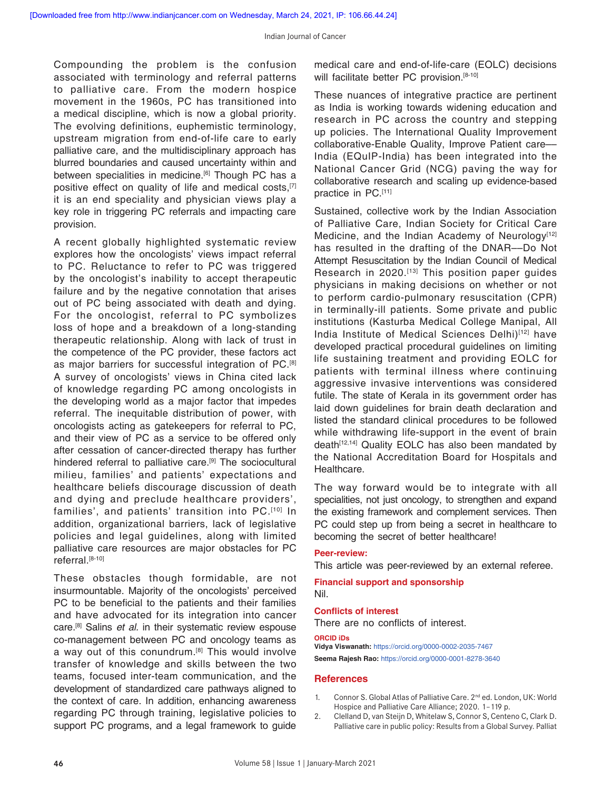Compounding the problem is the confusion associated with terminology and referral patterns to palliative care. From the modern hospice movement in the 1960s, PC has transitioned into a medical discipline, which is now a global priority. The evolving definitions, euphemistic terminology, upstream migration from end-of-life care to early palliative care, and the multidisciplinary approach has blurred boundaries and caused uncertainty within and between specialities in medicine.<sup>[6]</sup> Though PC has a positive effect on quality of life and medical costs,<sup>[7]</sup> it is an end speciality and physician views play a key role in triggering PC referrals and impacting care provision.

A recent globally highlighted systematic review explores how the oncologists' views impact referral to PC. Reluctance to refer to PC was triggered by the oncologist's inability to accept therapeutic failure and by the negative connotation that arises out of PC being associated with death and dying. For the oncologist, referral to PC symbolizes loss of hope and a breakdown of a long-standing therapeutic relationship. Along with lack of trust in the competence of the PC provider, these factors act as major barriers for successful integration of PC.[8] A survey of oncologists' views in China cited lack of knowledge regarding PC among oncologists in the developing world as a major factor that impedes referral. The inequitable distribution of power, with oncologists acting as gatekeepers for referral to PC, and their view of PC as a service to be offered only after cessation of cancer-directed therapy has further hindered referral to palliative care.<sup>[9]</sup> The sociocultural milieu, families' and patients' expectations and healthcare beliefs discourage discussion of death and dying and preclude healthcare providers', families', and patients' transition into PC.[10] In addition, organizational barriers, lack of legislative policies and legal guidelines, along with limited palliative care resources are major obstacles for PC referral.[8-10]

These obstacles though formidable, are not insurmountable. Majority of the oncologists' perceived PC to be beneficial to the patients and their families and have advocated for its integration into cancer care.[8] Salins *et al.* in their systematic review espouse co-management between PC and oncology teams as a way out of this conundrum.<sup>[8]</sup> This would involve transfer of knowledge and skills between the two teams, focused inter-team communication, and the development of standardized care pathways aligned to the context of care. In addition, enhancing awareness regarding PC through training, legislative policies to support PC programs, and a legal framework to guide

medical care and end-of-life-care (EOLC) decisions will facilitate better PC provision.<sup>[8-10]</sup>

These nuances of integrative practice are pertinent as India is working towards widening education and research in PC across the country and stepping up policies. The International Quality Improvement collaborative-Enable Quality, Improve Patient care–– India (EQuIP-India) has been integrated into the National Cancer Grid (NCG) paving the way for collaborative research and scaling up evidence-based practice in PC.[11]

Sustained, collective work by the Indian Association of Palliative Care, Indian Society for Critical Care Medicine, and the Indian Academy of Neurology $[12]$ has resulted in the drafting of the DNAR––Do Not Attempt Resuscitation by the Indian Council of Medical Research in 2020.<sup>[13]</sup> This position paper guides physicians in making decisions on whether or not to perform cardio-pulmonary resuscitation (CPR) in terminally-ill patients. Some private and public institutions (Kasturba Medical College Manipal, All India Institute of Medical Sciences Delhi)[12] have developed practical procedural guidelines on limiting life sustaining treatment and providing EOLC for patients with terminal illness where continuing aggressive invasive interventions was considered futile. The state of Kerala in its government order has laid down guidelines for brain death declaration and listed the standard clinical procedures to be followed while withdrawing life-support in the event of brain death<sup>[12,14]</sup> Quality EOLC has also been mandated by the National Accreditation Board for Hospitals and Healthcare.

The way forward would be to integrate with all specialities, not just oncology, to strengthen and expand the existing framework and complement services. Then PC could step up from being a secret in healthcare to becoming the secret of better healthcare!

# **Peer-review:**

This article was peer-reviewed by an external referee.

**Financial support and sponsorship** Nil.

# **Conflicts of interest**

There are no conflicts of interest.

#### **ORCID iDs**

**Vidya Viswanath:** https://orcid.org/0000-0002-2035-7467 **Seema Rajesh Rao:** https://orcid.org/0000-0001-8278-3640

# **References**

- 1. Connor S. Global Atlas of Palliative Care. 2<sup>nd</sup> ed. London, UK: World Hospice and Palliative Care Alliance; 2020. 1–119 p.
- 2. Clelland D, van Steijn D, Whitelaw S, Connor S, Centeno C, Clark D. Palliative care in public policy: Results from a Global Survey. Palliat